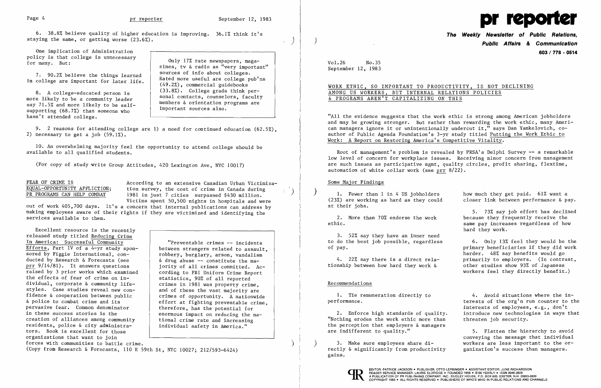6. 38.8% believe quality of higher education is improving. 36.1% think it's **The Weekly Newsletter of Public Relations,**<br>staying the same, or getting worse (23.6%). **The Weekly Newsletter of Public Affairs & Communication** 

policy is that college is unnecessary<br>for many. But:

say 71.5% and more likely to be self-<br>supporting (68.7%) than someone who<br>hasn't attended college.

Only 17% rate newspapers, maga-<br>index, tv & radio as "very important" and Vol.26 No.35 zines, tv & radio as "very important" sources of info about colleges. 7. 90.2% believe the things learned sources of info about colleges.<br>in college are important for later life. <br>(49.2%), commercial guidebooks (49.2%), commercial guidebooks<br>(33.8%). College grads think per-<br>AMONC US MORVERS RUT INTERNAL RELATIONS POLICIES sonal contacts, counselors, faculty |  $\overline{\&}$  PROGRAMS AREN'T CAPITALIZING ON THIS<br>members & orientation programs are



One implication of Administration **603/778 - 0514** 

2) necessary to get a job  $(59.1\%)$ . 9. 2 reasons for attending college are 1) a need for continued education (62.5%),

"All the evidence suggests that the work ethic is strong among American jobholders and may be growing stronger. But rather than rewarding the work ethic, many American managers ignore it or unintentionally undercut it," says Dan Yankelovich, coauthor of Public Agenda Foundation's 3-yr study titled Putting the Work Ethic to Work: A Report on Restoring America's Competitive Vitality.

Root of management's problem is revealed by PRSA's Delphi Survey -- a remarkable low level of concern for workplace issues. Receiving minor concern from management are such issues as participative mgmt, quality circles, profit sharing, flextime, automation of white collar work (see prr 8/22).

FEAR OF CRIME IS<br>
EQUAL-OPPORTUNITY AFFLICTION: tion survey, the cost of crime in Canada during EQUAL-OPPORTUNITY AFFLICTION; tion survey, the cost of crime in Canada during<br>PR PROGRAMS CAN HELP COMBAT 1981 in just 7 cities surpassed \$430 million. 1981 in just 7 cities surpassed \$430 million. Victims spent 50,500 nights in hospitals and were

10. An overwhelming majority feel the opportunity to attend college should be

(For copy of study write Group Attitudes, 420 Lexington Ave, NYC 10017)

1. Fewer than 1 in 4 US jobholders how much they get paid. 61% want a<br>3%) are working as hard as they could closer link between performance & pay.  $(23%)$  are working as hard as they could at their jobs.

2. More than 70% endorse the work because they frequently receive the ethic.

1. Tie remuneration directly to  $\overline{a}$  4. Avoid situations where the inperformance. The original terests of the org'n run counter to the interests of employees, e.g., don't 2. Enforce high standards of quality. introduce new technologies in ways that

5. Flatten the hierarchy to avoid conveying the message that individual  $\left.\begin{array}{lll} \end{array}\right\}$  3. Make sure employees share di- workers are less important to the or-

out of work 405,700 days. It's a concern that internal publications can address by making employees aware of their rights if they are victimized and identifying the services available to them.

> 3. Make sure employees share di-<br>rectly & significantly from productivity ganization's success than managers. gains.



Excellent resource is the recently released study titled Reducing Crime<br>In America: Successful Community In America: Successful Community<br>Efforts, Part IV of a 4-yr study spon-<br>between strangers related to assault Efforts, Part IV of a 4-yr study spon-<br>sored by Figgie International. con-<br>pobbery, burglary, arson, vandalism ducted by Research & Forecasts (see  $\frac{1}{2}$  a drug abuse -- constitute the ma-<br>prr 9/14/81). It answers questions iority of all crimes committed. A raised by 3 prior works which examined cording to FBI Uniform Crime Reported the effects of fear of crime on inthe effects of fear of crime on in-<br>dividual, corporate  $\&$  community life-<br>crimes in 1981 was property crime. dividual, corporate & community life-<br>styles. Case studies reveal new constyles. Case studies reveal new con-<br>
fidence  $\&$  cooperation between public  $\qquad$  crimes of opportunity. A nationwid fidence & cooperation between public  $\alpha$  crimes of opportunity. A nationwide<br>Example to combat crime and its effort at fighting preventable crime  $\delta$  police to combat crime and its  $\begin{array}{c} \delta$  police to combat crime,<br>pervasive fear. Common denominator therefore, has the potential for pervasive fear. Common denominator (a) therefore, has the potential for<br>in these success stories is the enormous impact on reducing the r creation of alliances among community tional crime rate and increasing residents, police  $\&$  city administra-  $\qquad$  individual safety in America." tors. Book is excellent for those organizations that want to join forces with communities to battle crime.

robbery, burglary, arson, vandalism jority of all crimes committed. Ac-<br>cording to FBI Uniform Crime Report enormous impact on reducing the na-

(Copy from Research & Forecasts, 110 E 59th St, NYC 10027; 212/593-6424)

# 8. A college-educated person is (33.8%). College grads think per-<br>more likely to be a community leader sonal contacts, counselors, faculty | AMONG US WORKERS, BUT INTERNAL RELATIONS POLICIES

5. 73% say job effort has declined same pay increases regardless of how hard they work.

3. 52% say they have an inner need to do the best job possible, regardless 6. Only 13% feel they would be the of pay. primary beneficiaries if they did work

tionship between how hard they work  $\delta$ 

harder. 48% say benefits would go 4. 22% say there is a direct rela-<br>  $\frac{1}{2}$  primarily to employers. (In contrast,<br>  $\frac{1}{2}$  other studies show 93% of Japanese workers feel they directly benefit.)

## Recommendations

"Nothing erodes the work ethic more than threaten job security. the perception that employers  $\&$  managers are indifferent to quality."